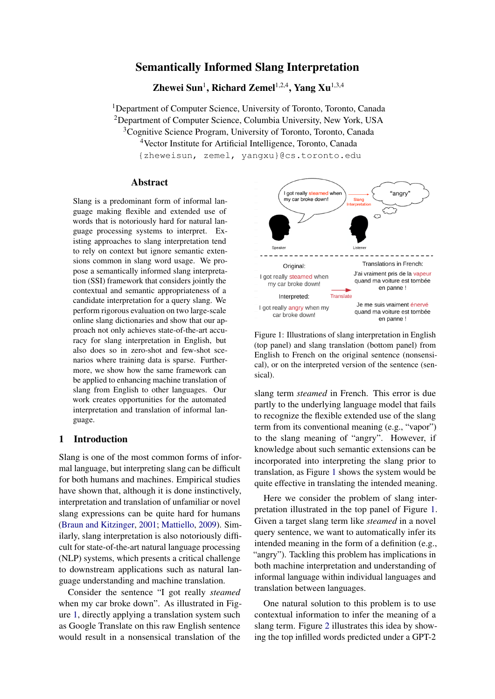# Semantically Informed Slang Interpretation

Zhewei Sun<sup>1</sup>, Richard Zemel<sup>1,2,4</sup>, Yang Xu<sup>1,3,4</sup>

<sup>1</sup>Department of Computer Science, University of Toronto, Toronto, Canada

<sup>2</sup>Department of Computer Science, Columbia University, New York, USA

<sup>3</sup>Cognitive Science Program, University of Toronto, Toronto, Canada

<sup>4</sup>Vector Institute for Artificial Intelligence, Toronto, Canada

{zheweisun, zemel, yangxu}@cs.toronto.edu

### Abstract

Slang is a predominant form of informal language making flexible and extended use of words that is notoriously hard for natural language processing systems to interpret. Existing approaches to slang interpretation tend to rely on context but ignore semantic extensions common in slang word usage. We propose a semantically informed slang interpretation (SSI) framework that considers jointly the contextual and semantic appropriateness of a candidate interpretation for a query slang. We perform rigorous evaluation on two large-scale online slang dictionaries and show that our approach not only achieves state-of-the-art accuracy for slang interpretation in English, but also does so in zero-shot and few-shot scenarios where training data is sparse. Furthermore, we show how the same framework can be applied to enhancing machine translation of slang from English to other languages. Our work creates opportunities for the automated interpretation and translation of informal language.

## 1 Introduction

Slang is one of the most common forms of informal language, but interpreting slang can be difficult for both humans and machines. Empirical studies have shown that, although it is done instinctively, interpretation and translation of unfamiliar or novel slang expressions can be quite hard for humans [\(Braun and Kitzinger,](#page-9-0) [2001;](#page-9-0) [Mattiello,](#page-9-1) [2009\)](#page-9-1). Similarly, slang interpretation is also notoriously difficult for state-of-the-art natural language processing (NLP) systems, which presents a critical challenge to downstream applications such as natural language understanding and machine translation.

Consider the sentence "I got really *steamed* when my car broke down". As illustrated in Figure [1,](#page-0-0) directly applying a translation system such as Google Translate on this raw English sentence would result in a nonsensical translation of the

<span id="page-0-0"></span>

Figure 1: Illustrations of slang interpretation in English (top panel) and slang translation (bottom panel) from English to French on the original sentence (nonsensical), or on the interpreted version of the sentence (sensical).

slang term *steamed* in French. This error is due partly to the underlying language model that fails to recognize the flexible extended use of the slang term from its conventional meaning (e.g., "vapor") to the slang meaning of "angry". However, if knowledge about such semantic extensions can be incorporated into interpreting the slang prior to translation, as Figure [1](#page-0-0) shows the system would be quite effective in translating the intended meaning.

Here we consider the problem of slang interpretation illustrated in the top panel of Figure [1.](#page-0-0) Given a target slang term like *steamed* in a novel query sentence, we want to automatically infer its intended meaning in the form of a definition (e.g., "angry"). Tackling this problem has implications in both machine interpretation and understanding of informal language within individual languages and translation between languages.

One natural solution to this problem is to use contextual information to infer the meaning of a slang term. Figure [2](#page-1-0) illustrates this idea by showing the top infilled words predicted under a GPT-2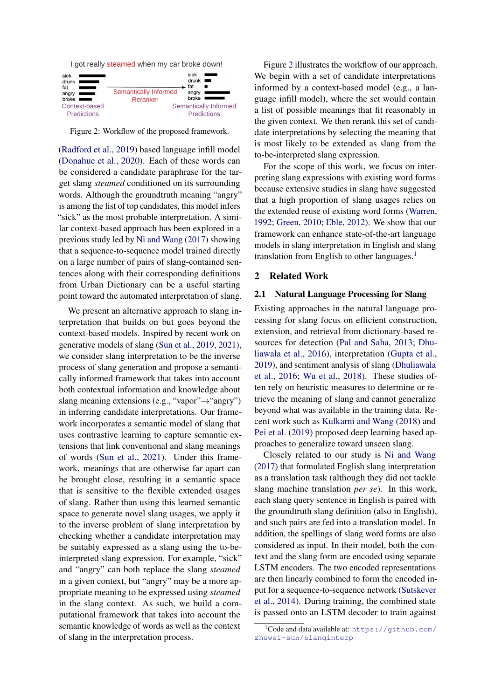<span id="page-1-0"></span>I got really steamed when my car broke down!



Figure 2: Workflow of the proposed framework.

[\(Radford et al.,](#page-10-0) [2019\)](#page-10-0) based language infill model [\(Donahue et al.,](#page-9-2) [2020\)](#page-9-2). Each of these words can be considered a candidate paraphrase for the target slang *steamed* conditioned on its surrounding words. Although the groundtruth meaning "angry" is among the list of top candidates, this model infers "sick" as the most probable interpretation. A similar context-based approach has been explored in a previous study led by [Ni and Wang](#page-10-1) [\(2017\)](#page-10-1) showing that a sequence-to-sequence model trained directly on a large number of pairs of slang-contained sentences along with their corresponding definitions from Urban Dictionary can be a useful starting point toward the automated interpretation of slang.

We present an alternative approach to slang interpretation that builds on but goes beyond the context-based models. Inspired by recent work on generative models of slang [\(Sun et al.,](#page-10-2) [2019,](#page-10-2) [2021\)](#page-10-3), we consider slang interpretation to be the inverse process of slang generation and propose a semantically informed framework that takes into account both contextual information and knowledge about slang meaning extensions (e.g., "vapor"→"angry") in inferring candidate interpretations. Our framework incorporates a semantic model of slang that uses contrastive learning to capture semantic extensions that link conventional and slang meanings of words [\(Sun et al.,](#page-10-3) [2021\)](#page-10-3). Under this framework, meanings that are otherwise far apart can be brought close, resulting in a semantic space that is sensitive to the flexible extended usages of slang. Rather than using this learned semantic space to generate novel slang usages, we apply it to the inverse problem of slang interpretation by checking whether a candidate interpretation may be suitably expressed as a slang using the to-beinterpreted slang expression. For example, "sick" and "angry" can both replace the slang *steamed* in a given context, but "angry" may be a more appropriate meaning to be expressed using *steamed* in the slang context. As such, we build a computational framework that takes into account the semantic knowledge of words as well as the context of slang in the interpretation process.

Figure [2](#page-1-0) illustrates the workflow of our approach. We begin with a set of candidate interpretations informed by a context-based model (e.g., a language infill model), where the set would contain a list of possible meanings that fit reasonably in the given context. We then rerank this set of candidate interpretations by selecting the meaning that is most likely to be extended as slang from the to-be-interpreted slang expression.

For the scope of this work, we focus on interpreting slang expressions with existing word forms because extensive studies in slang have suggested that a high proportion of slang usages relies on the extended reuse of existing word forms [\(Warren,](#page-10-4) [1992;](#page-10-4) [Green,](#page-9-3) [2010;](#page-9-3) [Eble,](#page-9-4) [2012\)](#page-9-4). We show that our framework can enhance state-of-the-art language models in slang interpretation in English and slang translation from English to other languages.<sup>[1](#page-1-1)</sup>

## 2 Related Work

### 2.1 Natural Language Processing for Slang

Existing approaches in the natural language processing for slang focus on efficient construction, extension, and retrieval from dictionary-based resources for detection [\(Pal and Saha,](#page-10-5) [2013;](#page-10-5) [Dhu](#page-9-5)[liawala et al.,](#page-9-5) [2016\)](#page-9-5), interpretation [\(Gupta et al.,](#page-9-6) [2019\)](#page-9-6), and sentiment analysis of slang [\(Dhuliawala](#page-9-5) [et al.,](#page-9-5) [2016;](#page-9-5) [Wu et al.,](#page-10-6) [2018\)](#page-10-6). These studies often rely on heuristic measures to determine or retrieve the meaning of slang and cannot generalize beyond what was available in the training data. Recent work such as [Kulkarni and Wang](#page-9-7) [\(2018\)](#page-9-7) and [Pei et al.](#page-10-7) [\(2019\)](#page-10-7) proposed deep learning based approaches to generalize toward unseen slang.

Closely related to our study is [Ni and Wang](#page-10-1) [\(2017\)](#page-10-1) that formulated English slang interpretation as a translation task (although they did not tackle slang machine translation *per se*). In this work, each slang query sentence in English is paired with the groundtruth slang definition (also in English), and such pairs are fed into a translation model. In addition, the spellings of slang word forms are also considered as input. In their model, both the context and the slang form are encoded using separate LSTM encoders. The two encoded representations are then linearly combined to form the encoded input for a sequence-to-sequence network [\(Sutskever](#page-10-8) [et al.,](#page-10-8) [2014\)](#page-10-8). During training, the combined state is passed onto an LSTM decoder to train against

<span id="page-1-1"></span><sup>&</sup>lt;sup>1</sup>Code and data available at: [https://github.com/](https://github.com/zhewei-sun/slanginterp) [zhewei-sun/slanginterp](https://github.com/zhewei-sun/slanginterp)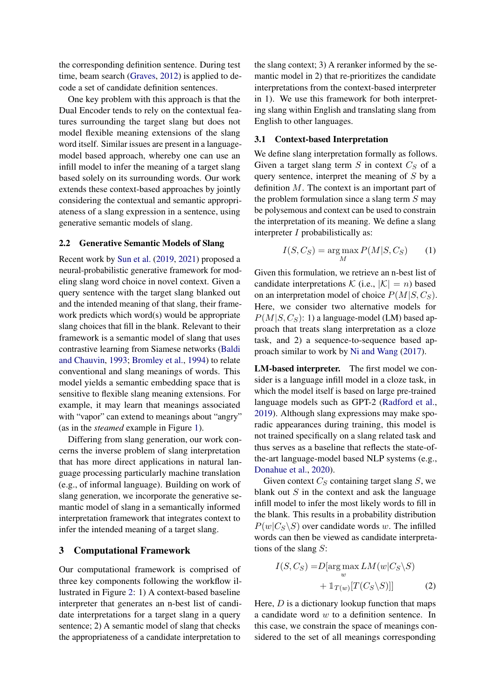the corresponding definition sentence. During test time, beam search [\(Graves,](#page-9-8) [2012\)](#page-9-8) is applied to decode a set of candidate definition sentences.

One key problem with this approach is that the Dual Encoder tends to rely on the contextual features surrounding the target slang but does not model flexible meaning extensions of the slang word itself. Similar issues are present in a languagemodel based approach, whereby one can use an infill model to infer the meaning of a target slang based solely on its surrounding words. Our work extends these context-based approaches by jointly considering the contextual and semantic appropriateness of a slang expression in a sentence, using generative semantic models of slang.

#### 2.2 Generative Semantic Models of Slang

Recent work by [Sun et al.](#page-10-2) [\(2019,](#page-10-2) [2021\)](#page-10-3) proposed a neural-probabilistic generative framework for modeling slang word choice in novel context. Given a query sentence with the target slang blanked out and the intended meaning of that slang, their framework predicts which word(s) would be appropriate slang choices that fill in the blank. Relevant to their framework is a semantic model of slang that uses contrastive learning from Siamese networks [\(Baldi](#page-9-9) [and Chauvin,](#page-9-9) [1993;](#page-9-9) [Bromley et al.,](#page-9-10) [1994\)](#page-9-10) to relate conventional and slang meanings of words. This model yields a semantic embedding space that is sensitive to flexible slang meaning extensions. For example, it may learn that meanings associated with "vapor" can extend to meanings about "angry" (as in the *steamed* example in Figure [1\)](#page-0-0).

Differing from slang generation, our work concerns the inverse problem of slang interpretation that has more direct applications in natural language processing particularly machine translation (e.g., of informal language). Building on work of slang generation, we incorporate the generative semantic model of slang in a semantically informed interpretation framework that integrates context to infer the intended meaning of a target slang.

### 3 Computational Framework

Our computational framework is comprised of three key components following the workflow illustrated in Figure [2:](#page-1-0) 1) A context-based baseline interpreter that generates an n-best list of candidate interpretations for a target slang in a query sentence; 2) A semantic model of slang that checks the appropriateness of a candidate interpretation to

the slang context; 3) A reranker informed by the semantic model in 2) that re-prioritizes the candidate interpretations from the context-based interpreter in 1). We use this framework for both interpreting slang within English and translating slang from English to other languages.

### <span id="page-2-1"></span>3.1 Context-based Interpretation

We define slang interpretation formally as follows. Given a target slang term  $S$  in context  $C_S$  of a query sentence, interpret the meaning of S by a definition M. The context is an important part of the problem formulation since a slang term  $S$  may be polysemous and context can be used to constrain the interpretation of its meaning. We define a slang interpreter I probabilistically as:

$$
I(S, C_S) = \underset{M}{\text{arg}\max} P(M|S, C_S)
$$
 (1)

Given this formulation, we retrieve an n-best list of candidate interpretations  $\mathcal{K}$  (i.e.,  $|\mathcal{K}| = n$ ) based on an interpretation model of choice  $P(M|S, C<sub>S</sub>)$ . Here, we consider two alternative models for  $P(M|S, C_S)$ : 1) a language-model (LM) based approach that treats slang interpretation as a cloze task, and 2) a sequence-to-sequence based approach similar to work by [Ni and Wang](#page-10-1) [\(2017\)](#page-10-1).

LM-based interpreter. The first model we consider is a language infill model in a cloze task, in which the model itself is based on large pre-trained language models such as GPT-2 [\(Radford et al.,](#page-10-0) [2019\)](#page-10-0). Although slang expressions may make sporadic appearances during training, this model is not trained specifically on a slang related task and thus serves as a baseline that reflects the state-ofthe-art language-model based NLP systems (e.g., [Donahue et al.,](#page-9-2) [2020\)](#page-9-2).

Given context  $C_S$  containing target slang  $S$ , we blank out  $S$  in the context and ask the language infill model to infer the most likely words to fill in the blank. This results in a probability distribution  $P(w|C_S\backslash S)$  over candidate words w. The infilled words can then be viewed as candidate interpretations of the slang S:

<span id="page-2-0"></span>
$$
I(S, C_S) = D[\arg \max_{w} LM(w|C_S \backslash S) + \mathbb{1}_{T(w)}[T(C_S \backslash S)]]
$$
 (2)

Here,  $D$  is a dictionary lookup function that maps a candidate word  $w$  to a definition sentence. In this case, we constrain the space of meanings considered to the set of all meanings corresponding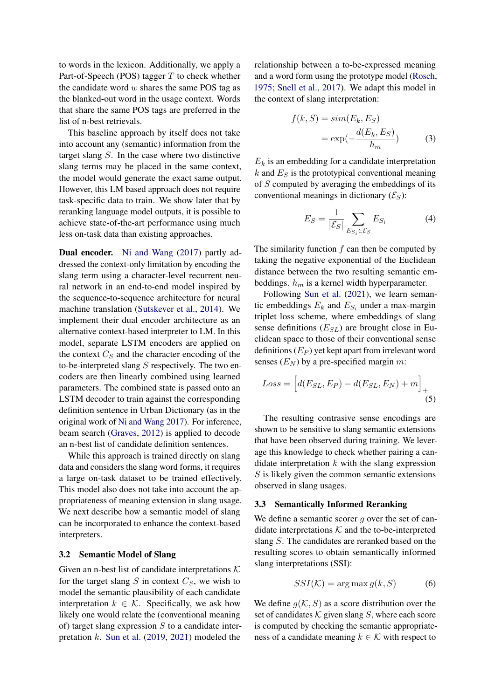to words in the lexicon. Additionally, we apply a Part-of-Speech (POS) tagger  $T$  to check whether the candidate word  $w$  shares the same POS tag as the blanked-out word in the usage context. Words that share the same POS tags are preferred in the list of n-best retrievals.

This baseline approach by itself does not take into account any (semantic) information from the target slang S. In the case where two distinctive slang terms may be placed in the same context, the model would generate the exact same output. However, this LM based approach does not require task-specific data to train. We show later that by reranking language model outputs, it is possible to achieve state-of-the-art performance using much less on-task data than existing approaches.

Dual encoder. [Ni and Wang](#page-10-1) [\(2017\)](#page-10-1) partly addressed the context-only limitation by encoding the slang term using a character-level recurrent neural network in an end-to-end model inspired by the sequence-to-sequence architecture for neural machine translation [\(Sutskever et al.,](#page-10-8) [2014\)](#page-10-8). We implement their dual encoder architecture as an alternative context-based interpreter to LM. In this model, separate LSTM encoders are applied on the context  $C_S$  and the character encoding of the to-be-interpreted slang  $S$  respectively. The two encoders are then linearly combined using learned parameters. The combined state is passed onto an LSTM decoder to train against the corresponding definition sentence in Urban Dictionary (as in the original work of [Ni and Wang](#page-10-1) [2017\)](#page-10-1). For inference, beam search [\(Graves,](#page-9-8) [2012\)](#page-9-8) is applied to decode an n-best list of candidate definition sentences.

While this approach is trained directly on slang data and considers the slang word forms, it requires a large on-task dataset to be trained effectively. This model also does not take into account the appropriateness of meaning extension in slang usage. We next describe how a semantic model of slang can be incorporated to enhance the context-based interpreters.

#### <span id="page-3-1"></span>3.2 Semantic Model of Slang

Given an n-best list of candidate interpretations  $K$ for the target slang  $S$  in context  $C_S$ , we wish to model the semantic plausibility of each candidate interpretation  $k \in \mathcal{K}$ . Specifically, we ask how likely one would relate the (conventional meaning of) target slang expression  $S$  to a candidate interpretation k. [Sun et al.](#page-10-2) [\(2019,](#page-10-2) [2021\)](#page-10-3) modeled the

relationship between a to-be-expressed meaning and a word form using the prototype model [\(Rosch,](#page-10-9) [1975;](#page-10-9) [Snell et al.,](#page-10-10) [2017\)](#page-10-10). We adapt this model in the context of slang interpretation:

<span id="page-3-0"></span>
$$
f(k, S) = sim(E_k, E_S)
$$
  
= exp $\left(-\frac{d(E_k, E_S)}{h_m}\right)$  (3)

 $E_k$  is an embedding for a candidate interpretation  $k$  and  $E<sub>S</sub>$  is the prototypical conventional meaning of S computed by averaging the embeddings of its conventional meanings in dictionary  $(\mathcal{E}_S)$ :

$$
E_S = \frac{1}{|\mathcal{E}_S|} \sum_{E_{S_i} \in \mathcal{E}_S} E_{S_i}
$$
 (4)

The similarity function  $f$  can then be computed by taking the negative exponential of the Euclidean distance between the two resulting semantic embeddings.  $h_m$  is a kernel width hyperparameter.

Following [Sun et al.](#page-10-3) [\(2021\)](#page-10-3), we learn semantic embeddings  $E_k$  and  $E_{S_i}$  under a max-margin triplet loss scheme, where embeddings of slang sense definitions  $(E_{SL})$  are brought close in Euclidean space to those of their conventional sense definitions  $(E_P)$  yet kept apart from irrelevant word senses  $(E_N)$  by a pre-specified margin m:

<span id="page-3-2"></span>
$$
Loss = \left[d(E_{SL}, E_P) - d(E_{SL}, E_N) + m\right]_+(5)
$$

The resulting contrasive sense encodings are shown to be sensitive to slang semantic extensions that have been observed during training. We leverage this knowledge to check whether pairing a candidate interpretation  $k$  with the slang expression  $S$  is likely given the common semantic extensions observed in slang usages.

### 3.3 Semantically Informed Reranking

We define a semantic scorer  $q$  over the set of candidate interpretations  $K$  and the to-be-interpreted slang S. The candidates are reranked based on the resulting scores to obtain semantically informed slang interpretations (SSI):

$$
SSI(\mathcal{K}) = \arg\max g(k, S)
$$
 (6)

We define  $q(K, S)$  as a score distribution over the set of candidates  $K$  given slang S, where each score is computed by checking the semantic appropriateness of a candidate meaning  $k \in \mathcal{K}$  with respect to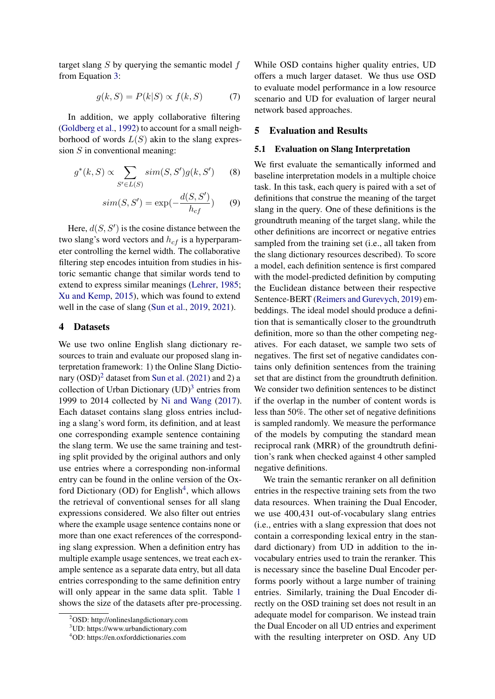target slang  $S$  by querying the semantic model  $f$ from Equation [3:](#page-3-0)

$$
g(k, S) = P(k|S) \propto f(k, S) \tag{7}
$$

In addition, we apply collaborative filtering [\(Goldberg et al.,](#page-9-11) [1992\)](#page-9-11) to account for a small neighborhood of words  $L(S)$  akin to the slang expression  $S$  in conventional meaning:

$$
g^*(k, S) \propto \sum_{S' \in L(S)} sim(S, S')g(k, S')
$$
 (8)

$$
sim(S, S') = \exp(-\frac{d(S, S')}{h_{cf}})
$$
 (9)

Here,  $d(S, S')$  is the cosine distance between the two slang's word vectors and  $h_{cf}$  is a hyperparameter controlling the kernel width. The collaborative filtering step encodes intuition from studies in historic semantic change that similar words tend to extend to express similar meanings [\(Lehrer,](#page-9-12) [1985;](#page-9-12) [Xu and Kemp,](#page-10-11) [2015\)](#page-10-11), which was found to extend well in the case of slang [\(Sun et al.,](#page-10-2) [2019,](#page-10-2) [2021\)](#page-10-3).

## 4 Datasets

We use two online English slang dictionary resources to train and evaluate our proposed slang interpretation framework: 1) the Online Slang Dictionary  $(OSD)^2$  $(OSD)^2$  dataset from [Sun et al.](#page-10-3) [\(2021\)](#page-10-3) and 2) a collection of Urban Dictionary  $(UD)^3$  $(UD)^3$  entries from 1999 to 2014 collected by [Ni and Wang](#page-10-1) [\(2017\)](#page-10-1). Each dataset contains slang gloss entries including a slang's word form, its definition, and at least one corresponding example sentence containing the slang term. We use the same training and testing split provided by the original authors and only use entries where a corresponding non-informal entry can be found in the online version of the Ox-ford Dictionary (OD) for English<sup>[4](#page-4-2)</sup>, which allows the retrieval of conventional senses for all slang expressions considered. We also filter out entries where the example usage sentence contains none or more than one exact references of the corresponding slang expression. When a definition entry has multiple example usage sentences, we treat each example sentence as a separate data entry, but all data entries corresponding to the same definition entry will only appear in the same data split. Table [1](#page-5-0) shows the size of the datasets after pre-processing.

While OSD contains higher quality entries, UD offers a much larger dataset. We thus use OSD to evaluate model performance in a low resource scenario and UD for evaluation of larger neural network based approaches.

### 5 Evaluation and Results

## <span id="page-4-5"></span>5.1 Evaluation on Slang Interpretation

<span id="page-4-4"></span><span id="page-4-3"></span>We first evaluate the semantically informed and baseline interpretation models in a multiple choice task. In this task, each query is paired with a set of definitions that construe the meaning of the target slang in the query. One of these definitions is the groundtruth meaning of the target slang, while the other definitions are incorrect or negative entries sampled from the training set (i.e., all taken from the slang dictionary resources described). To score a model, each definition sentence is first compared with the model-predicted definition by computing the Euclidean distance between their respective Sentence-BERT [\(Reimers and Gurevych,](#page-10-12) [2019\)](#page-10-12) embeddings. The ideal model should produce a definition that is semantically closer to the groundtruth definition, more so than the other competing negatives. For each dataset, we sample two sets of negatives. The first set of negative candidates contains only definition sentences from the training set that are distinct from the groundtruth definition. We consider two definition sentences to be distinct if the overlap in the number of content words is less than 50%. The other set of negative definitions is sampled randomly. We measure the performance of the models by computing the standard mean reciprocal rank (MRR) of the groundtruth definition's rank when checked against 4 other sampled negative definitions.

We train the semantic reranker on all definition entries in the respective training sets from the two data resources. When training the Dual Encoder, we use 400,431 out-of-vocabulary slang entries (i.e., entries with a slang expression that does not contain a corresponding lexical entry in the standard dictionary) from UD in addition to the invocabulary entries used to train the reranker. This is necessary since the baseline Dual Encoder performs poorly without a large number of training entries. Similarly, training the Dual Encoder directly on the OSD training set does not result in an adequate model for comparison. We instead train the Dual Encoder on all UD entries and experiment with the resulting interpreter on OSD. Any UD

<span id="page-4-0"></span><sup>2</sup>OSD: http://onlineslangdictionary.com

<span id="page-4-1"></span><sup>3</sup>UD: https://www.urbandictionary.com

<span id="page-4-2"></span><sup>4</sup>OD: https://en.oxforddictionaries.com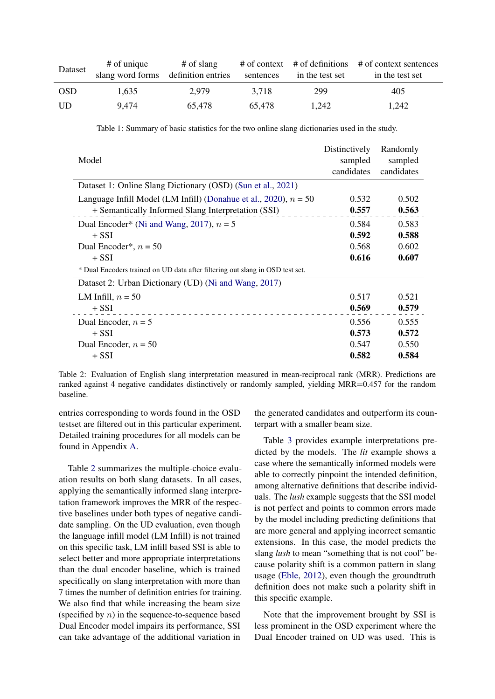<span id="page-5-0"></span>

| Dataset    | $#$ of unique                       | # of slang |           |                 | $\#$ of context $\#$ of definitions $\#$ of context sentences |
|------------|-------------------------------------|------------|-----------|-----------------|---------------------------------------------------------------|
|            | slang word forms definition entries |            | sentences | in the test set | in the test set                                               |
| <b>OSD</b> | 1.635                               | 2.979      | 3.718     | 299             | 405                                                           |
| - UD       | 9.474                               | 65.478     | 65.478    | 1.242           | 1.242                                                         |

Table 1: Summary of basic statistics for the two online slang dictionaries used in the study.

<span id="page-5-1"></span>

| Model                                                                         | Distinctively<br>sampled<br>candidates | Randomly<br>sampled<br>candidates |
|-------------------------------------------------------------------------------|----------------------------------------|-----------------------------------|
| Dataset 1: Online Slang Dictionary (OSD) (Sun et al., 2021)                   |                                        |                                   |
| Language Infill Model (LM Infill) (Donahue et al., 2020), $n = 50$            | 0.532                                  | 0.502                             |
| + Semantically Informed Slang Interpretation (SSI)                            | 0.557                                  | 0.563                             |
| Dual Encoder* (Ni and Wang, 2017), $n = 5$                                    | 0.584                                  | 0.583                             |
| $+$ SSI                                                                       | 0.592                                  | 0.588                             |
| Dual Encoder <sup>*</sup> , $n = 50$                                          | 0.568                                  | 0.602                             |
| $+$ SSI                                                                       | 0.616                                  | 0.607                             |
| * Dual Encoders trained on UD data after filtering out slang in OSD test set. |                                        |                                   |
| Dataset 2: Urban Dictionary (UD) (Ni and Wang, 2017)                          |                                        |                                   |
| LM Infill, $n = 50$                                                           | 0.517                                  | 0.521                             |
| $+$ SSI                                                                       | 0.569                                  | 0.579                             |
| Dual Encoder, $n = 5$                                                         | 0.556                                  | 0.555                             |
| $+$ SSI                                                                       | 0.573                                  | 0.572                             |
| Dual Encoder, $n = 50$                                                        | 0.547                                  | 0.550                             |
| $+$ SSI                                                                       | 0.582                                  | 0.584                             |

Table 2: Evaluation of English slang interpretation measured in mean-reciprocal rank (MRR). Predictions are ranked against 4 negative candidates distinctively or randomly sampled, yielding MRR=0.457 for the random baseline.

entries corresponding to words found in the OSD testset are filtered out in this particular experiment. Detailed training procedures for all models can be found in Appendix [A.](#page-11-0)

Table [2](#page-5-1) summarizes the multiple-choice evaluation results on both slang datasets. In all cases, applying the semantically informed slang interpretation framework improves the MRR of the respective baselines under both types of negative candidate sampling. On the UD evaluation, even though the language infill model (LM Infill) is not trained on this specific task, LM infill based SSI is able to select better and more appropriate interpretations than the dual encoder baseline, which is trained specifically on slang interpretation with more than 7 times the number of definition entries for training. We also find that while increasing the beam size (specified by  $n$ ) in the sequence-to-sequence based Dual Encoder model impairs its performance, SSI can take advantage of the additional variation in

the generated candidates and outperform its counterpart with a smaller beam size.

Table [3](#page-6-0) provides example interpretations predicted by the models. The *lit* example shows a case where the semantically informed models were able to correctly pinpoint the intended definition, among alternative definitions that describe individuals. The *lush* example suggests that the SSI model is not perfect and points to common errors made by the model including predicting definitions that are more general and applying incorrect semantic extensions. In this case, the model predicts the slang *lush* to mean "something that is not cool" because polarity shift is a common pattern in slang usage [\(Eble,](#page-9-4) [2012\)](#page-9-4), even though the groundtruth definition does not make such a polarity shift in this specific example.

Note that the improvement brought by SSI is less prominent in the OSD experiment where the Dual Encoder trained on UD was used. This is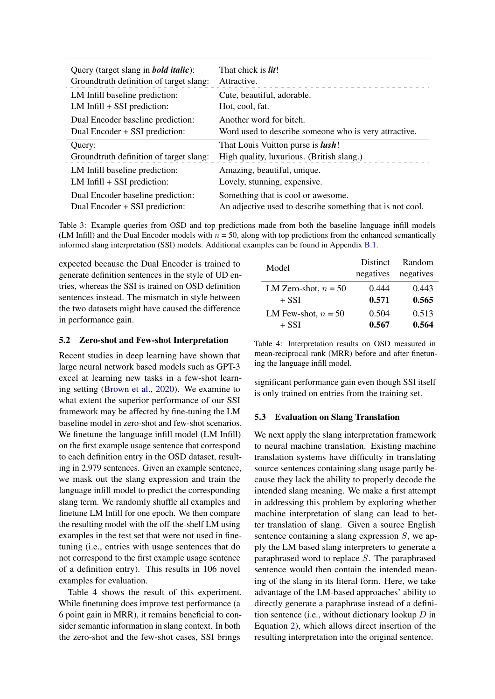<span id="page-6-0"></span>

| Query (target slang in <b><i>bold italic</i></b> ): | That chick is <i>lit!</i>                                 |
|-----------------------------------------------------|-----------------------------------------------------------|
| Groundtruth definition of target slang:             | Attractive.                                               |
| LM Infill baseline prediction:                      | Cute, beautiful, adorable.                                |
| $LM$ Infill $+$ SSI prediction:                     | Hot, cool, fat.                                           |
| Dual Encoder baseline prediction:                   | Another word for bitch.                                   |
| Dual Encoder + SSI prediction:                      | Word used to describe someone who is very attractive.     |
| Query:                                              | That Louis Vuitton purse is <i>lush</i> !                 |
| Groundtruth definition of target slang:             | High quality, luxurious. (British slang.)                 |
| LM Infill baseline prediction:                      | Amazing, beautiful, unique.                               |
| $LM$ Infill $+$ SSI prediction:                     | Lovely, stunning, expensive.                              |
| Dual Encoder baseline prediction:                   | Something that is cool or awesome.                        |
| Dual Encoder + SSI prediction:                      | An adjective used to describe something that is not cool. |

Table 3: Example queries from OSD and top predictions made from both the baseline language infill models (LM Infill) and the Dual Encoder models with  $n = 50$ , along with top predictions from the enhanced semantically informed slang interpretation (SSI) models. Additional examples can be found in Appendix [B.1.](#page-11-1)

expected because the Dual Encoder is trained to generate definition sentences in the style of UD entries, whereas the SSI is trained on OSD definition sentences instead. The mismatch in style between the two datasets might have caused the difference in performance gain.

### 5.2 Zero-shot and Few-shot Interpretation

Recent studies in deep learning have shown that large neural network based models such as GPT-3 excel at learning new tasks in a few-shot learning setting [\(Brown et al.,](#page-9-13) [2020\)](#page-9-13). We examine to what extent the superior performance of our SSI framework may be affected by fine-tuning the LM baseline model in zero-shot and few-shot scenarios. We finetune the language infill model (LM Infill) on the first example usage sentence that correspond to each definition entry in the OSD dataset, resulting in 2,979 sentences. Given an example sentence, we mask out the slang expression and train the language infill model to predict the corresponding slang term. We randomly shuffle all examples and finetune LM Infill for one epoch. We then compare the resulting model with the off-the-shelf LM using examples in the test set that were not used in finetuning (i.e., entries with usage sentences that do not correspond to the first example usage sentence of a definition entry). This results in 106 novel examples for evaluation.

Table [4](#page-6-1) shows the result of this experiment. While finetuning does improve test performance (a 6 point gain in MRR), it remains beneficial to consider semantic information in slang context. In both the zero-shot and the few-shot cases, SSI brings

<span id="page-6-1"></span>

| Model                  | <b>Distinct</b> | Random    |
|------------------------|-----------------|-----------|
|                        | negatives       | negatives |
| LM Zero-shot, $n = 50$ | 0.444           | 0.443     |
| $+$ SSI                | 0.571           | 0.565     |
| LM Few-shot, $n = 50$  | 0.504           | 0.513     |
| $+$ SSI                | 0.567           | 0.564     |

Table 4: Interpretation results on OSD measured in mean-reciprocal rank (MRR) before and after finetuning the language infill model.

significant performance gain even though SSI itself is only trained on entries from the training set.

### <span id="page-6-2"></span>5.3 Evaluation on Slang Translation

We next apply the slang interpretation framework to neural machine translation. Existing machine translation systems have difficulty in translating source sentences containing slang usage partly because they lack the ability to properly decode the intended slang meaning. We make a first attempt in addressing this problem by exploring whether machine interpretation of slang can lead to better translation of slang. Given a source English sentence containing a slang expression S, we apply the LM based slang interpreters to generate a paraphrased word to replace S. The paraphrased sentence would then contain the intended meaning of the slang in its literal form. Here, we take advantage of the LM-based approaches' ability to directly generate a paraphrase instead of a definition sentence (i.e., without dictionary lookup  $D$  in Equation [2\)](#page-2-0), which allows direct insertion of the resulting interpretation into the original sentence.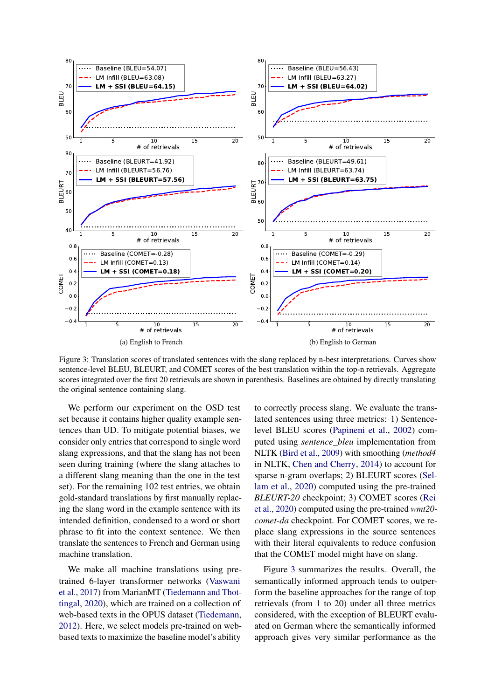<span id="page-7-0"></span>

Figure 3: Translation scores of translated sentences with the slang replaced by n-best interpretations. Curves show sentence-level BLEU, BLEURT, and COMET scores of the best translation within the top-n retrievals. Aggregate scores integrated over the first 20 retrievals are shown in parenthesis. Baselines are obtained by directly translating the original sentence containing slang.

We perform our experiment on the OSD test set because it contains higher quality example sentences than UD. To mitigate potential biases, we consider only entries that correspond to single word slang expressions, and that the slang has not been seen during training (where the slang attaches to a different slang meaning than the one in the test set). For the remaining 102 test entries, we obtain gold-standard translations by first manually replacing the slang word in the example sentence with its intended definition, condensed to a word or short phrase to fit into the context sentence. We then translate the sentences to French and German using machine translation.

We make all machine translations using pretrained 6-layer transformer networks [\(Vaswani](#page-10-13) [et al.,](#page-10-13) [2017\)](#page-10-13) from MarianMT [\(Tiedemann and Thot](#page-10-14)[tingal,](#page-10-14) [2020\)](#page-10-14), which are trained on a collection of web-based texts in the OPUS dataset [\(Tiedemann,](#page-10-15) [2012\)](#page-10-15). Here, we select models pre-trained on webbased texts to maximize the baseline model's ability

to correctly process slang. We evaluate the translated sentences using three metrics: 1) Sentencelevel BLEU scores [\(Papineni et al.,](#page-10-16) [2002\)](#page-10-16) computed using *sentence\_bleu* implementation from NLTK [\(Bird et al.,](#page-9-14) [2009\)](#page-9-14) with smoothing (*method4* in NLTK, [Chen and Cherry,](#page-9-15) [2014\)](#page-9-15) to account for sparse n-gram overlaps; 2) BLEURT scores [\(Sel](#page-10-17)[lam et al.,](#page-10-17) [2020\)](#page-10-17) computed using the pre-trained *BLEURT-20* checkpoint; 3) COMET scores [\(Rei](#page-10-18) [et al.,](#page-10-18) [2020\)](#page-10-18) computed using the pre-trained *wmt20 comet-da* checkpoint. For COMET scores, we replace slang expressions in the source sentences with their literal equivalents to reduce confusion that the COMET model might have on slang.

Figure [3](#page-7-0) summarizes the results. Overall, the semantically informed approach tends to outperform the baseline approaches for the range of top retrievals (from 1 to 20) under all three metrics considered, with the exception of BLEURT evaluated on German where the semantically informed approach gives very similar performance as the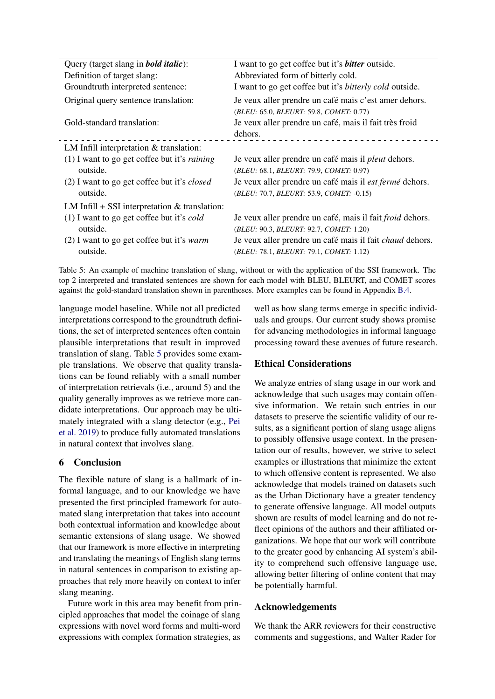<span id="page-8-0"></span>

| Query (target slang in <b>bold italic</b> ):          | I want to go get coffee but it's <b>bitter</b> outside.          |
|-------------------------------------------------------|------------------------------------------------------------------|
| Definition of target slang:                           | Abbreviated form of bitterly cold.                               |
| Groundtruth interpreted sentence:                     | I want to go get coffee but it's <i>bitterly cold</i> outside.   |
| Original query sentence translation:                  | Je veux aller prendre un café mais c'est amer dehors.            |
|                                                       | (BLEU: 65.0, BLEURT: 59.8, COMET: 0.77)                          |
| Gold-standard translation:                            | Je veux aller prendre un café, mais il fait très froid           |
|                                                       | dehors.                                                          |
| LM Infill interpretation $&$ translation:             |                                                                  |
| $(1)$ I want to go get coffee but it's <i>raining</i> | Je veux aller prendre un café mais il <i>pleut</i> dehors.       |
| outside.                                              | (BLEU: 68.1, BLEURT: 79.9, COMET: 0.97)                          |
| (2) I want to go get coffee but it's <i>closed</i>    | Je veux aller prendre un café mais il est fermé dehors.          |
| outside.                                              | (BLEU: 70.7, BLEURT: 53.9, COMET: -0.15)                         |
| LM Infill $+$ SSI interpretation & translation:       |                                                                  |
| (1) I want to go get coffee but it's cold             | Je veux aller prendre un café, mais il fait <i>froid</i> dehors. |
| outside.                                              | (BLEU: 90.3, BLEURT: 92.7, COMET: 1.20)                          |
| $(2)$ I want to go get coffee but it's <i>warm</i>    | Je veux aller prendre un café mais il fait <i>chaud</i> dehors.  |
| outside.                                              | (BLEU: 78.1, BLEURT: 79.1, COMET: 1.12)                          |

Table 5: An example of machine translation of slang, without or with the application of the SSI framework. The top 2 interpreted and translated sentences are shown for each model with BLEU, BLEURT, and COMET scores against the gold-standard translation shown in parentheses. More examples can be found in Appendix [B.4.](#page-12-0)

language model baseline. While not all predicted interpretations correspond to the groundtruth definitions, the set of interpreted sentences often contain plausible interpretations that result in improved translation of slang. Table [5](#page-8-0) provides some example translations. We observe that quality translations can be found reliably with a small number of interpretation retrievals (i.e., around 5) and the quality generally improves as we retrieve more candidate interpretations. Our approach may be ultimately integrated with a slang detector (e.g., [Pei](#page-10-7) [et al.](#page-10-7) [2019\)](#page-10-7) to produce fully automated translations in natural context that involves slang.

# 6 Conclusion

The flexible nature of slang is a hallmark of informal language, and to our knowledge we have presented the first principled framework for automated slang interpretation that takes into account both contextual information and knowledge about semantic extensions of slang usage. We showed that our framework is more effective in interpreting and translating the meanings of English slang terms in natural sentences in comparison to existing approaches that rely more heavily on context to infer slang meaning.

Future work in this area may benefit from principled approaches that model the coinage of slang expressions with novel word forms and multi-word expressions with complex formation strategies, as

well as how slang terms emerge in specific individuals and groups. Our current study shows promise for advancing methodologies in informal language processing toward these avenues of future research.

# Ethical Considerations

We analyze entries of slang usage in our work and acknowledge that such usages may contain offensive information. We retain such entries in our datasets to preserve the scientific validity of our results, as a significant portion of slang usage aligns to possibly offensive usage context. In the presentation our of results, however, we strive to select examples or illustrations that minimize the extent to which offensive content is represented. We also acknowledge that models trained on datasets such as the Urban Dictionary have a greater tendency to generate offensive language. All model outputs shown are results of model learning and do not reflect opinions of the authors and their affiliated organizations. We hope that our work will contribute to the greater good by enhancing AI system's ability to comprehend such offensive language use, allowing better filtering of online content that may be potentially harmful.

# Acknowledgements

We thank the ARR reviewers for their constructive comments and suggestions, and Walter Rader for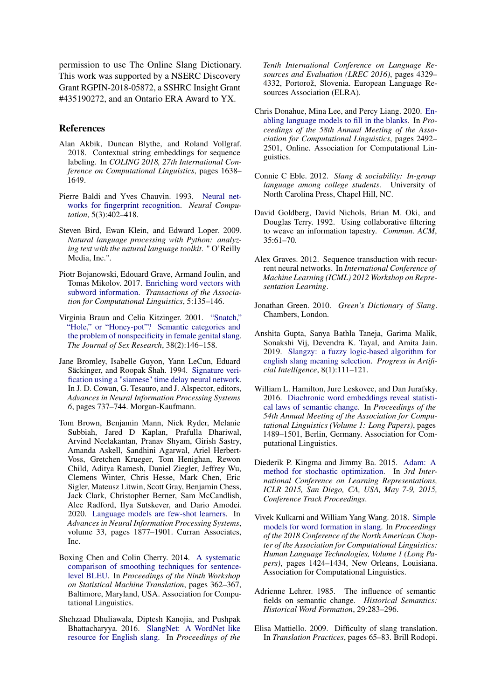permission to use The Online Slang Dictionary. This work was supported by a NSERC Discovery Grant RGPIN-2018-05872, a SSHRC Insight Grant #435190272, and an Ontario ERA Award to YX.

### References

- <span id="page-9-16"></span>Alan Akbik, Duncan Blythe, and Roland Vollgraf. 2018. Contextual string embeddings for sequence labeling. In *COLING 2018, 27th International Conference on Computational Linguistics*, pages 1638– 1649.
- <span id="page-9-9"></span>Pierre Baldi and Yves Chauvin. 1993. [Neural net](https://doi.org/10.1162/neco.1993.5.3.402)[works for fingerprint recognition.](https://doi.org/10.1162/neco.1993.5.3.402) *Neural Computation*, 5(3):402–418.
- <span id="page-9-14"></span>Steven Bird, Ewan Klein, and Edward Loper. 2009. *Natural language processing with Python: analyzing text with the natural language toolkit*. " O'Reilly Media, Inc.".
- <span id="page-9-19"></span>Piotr Bojanowski, Edouard Grave, Armand Joulin, and Tomas Mikolov. 2017. [Enriching word vectors with](https://doi.org/10.1162/tacl_a_00051) [subword information.](https://doi.org/10.1162/tacl_a_00051) *Transactions of the Association for Computational Linguistics*, 5:135–146.
- <span id="page-9-0"></span>Virginia Braun and Celia Kitzinger. 2001. ["Snatch,"](https://doi.org/10.1080/00224490109552082) ["Hole," or "Honey-pot"? Semantic categories and](https://doi.org/10.1080/00224490109552082) [the problem of nonspecificity in female genital slang.](https://doi.org/10.1080/00224490109552082) *The Journal of Sex Research*, 38(2):146–158.
- <span id="page-9-10"></span>Jane Bromley, Isabelle Guyon, Yann LeCun, Eduard Säckinger, and Roopak Shah. 1994. [Signature veri](http://papers.nips.cc/paper/769-signature-verification-using-a-siamese-time-delay-neural-network.pdf)[fication using a "siamese" time delay neural network.](http://papers.nips.cc/paper/769-signature-verification-using-a-siamese-time-delay-neural-network.pdf) In J. D. Cowan, G. Tesauro, and J. Alspector, editors, *Advances in Neural Information Processing Systems 6*, pages 737–744. Morgan-Kaufmann.
- <span id="page-9-13"></span>Tom Brown, Benjamin Mann, Nick Ryder, Melanie Subbiah, Jared D Kaplan, Prafulla Dhariwal, Arvind Neelakantan, Pranav Shyam, Girish Sastry, Amanda Askell, Sandhini Agarwal, Ariel Herbert-Voss, Gretchen Krueger, Tom Henighan, Rewon Child, Aditya Ramesh, Daniel Ziegler, Jeffrey Wu, Clemens Winter, Chris Hesse, Mark Chen, Eric Sigler, Mateusz Litwin, Scott Gray, Benjamin Chess, Jack Clark, Christopher Berner, Sam McCandlish, Alec Radford, Ilya Sutskever, and Dario Amodei. 2020. [Language models are few-shot learners.](https://proceedings.neurips.cc/paper/2020/file/1457c0d6bfcb4967418bfb8ac142f64a-Paper.pdf) In *Advances in Neural Information Processing Systems*, volume 33, pages 1877–1901. Curran Associates, Inc.
- <span id="page-9-15"></span>Boxing Chen and Colin Cherry. 2014. [A systematic](https://doi.org/10.3115/v1/W14-3346) [comparison of smoothing techniques for sentence](https://doi.org/10.3115/v1/W14-3346)[level BLEU.](https://doi.org/10.3115/v1/W14-3346) In *Proceedings of the Ninth Workshop on Statistical Machine Translation*, pages 362–367, Baltimore, Maryland, USA. Association for Computational Linguistics.
- <span id="page-9-5"></span>Shehzaad Dhuliawala, Diptesh Kanojia, and Pushpak Bhattacharyya. 2016. [SlangNet: A WordNet like](https://www.aclweb.org/anthology/L16-1686) [resource for English slang.](https://www.aclweb.org/anthology/L16-1686) In *Proceedings of the*

*Tenth International Conference on Language Resources and Evaluation (LREC 2016)*, pages 4329– 4332, Portorož, Slovenia. European Language Resources Association (ELRA).

- <span id="page-9-2"></span>Chris Donahue, Mina Lee, and Percy Liang. 2020. [En](https://doi.org/10.18653/v1/2020.acl-main.225)[abling language models to fill in the blanks.](https://doi.org/10.18653/v1/2020.acl-main.225) In *Proceedings of the 58th Annual Meeting of the Association for Computational Linguistics*, pages 2492– 2501, Online. Association for Computational Linguistics.
- <span id="page-9-4"></span>Connie C Eble. 2012. *Slang & sociability: In-group language among college students*. University of North Carolina Press, Chapel Hill, NC.
- <span id="page-9-11"></span>David Goldberg, David Nichols, Brian M. Oki, and Douglas Terry. 1992. Using collaborative filtering to weave an information tapestry. *Commun. ACM*, 35:61–70.
- <span id="page-9-8"></span>Alex Graves. 2012. Sequence transduction with recurrent neural networks. In *International Conference of Machine Learning (ICML) 2012 Workshop on Representation Learning*.
- <span id="page-9-3"></span>Jonathan Green. 2010. *Green's Dictionary of Slang*. Chambers, London.
- <span id="page-9-6"></span>Anshita Gupta, Sanya Bathla Taneja, Garima Malik, Sonakshi Vij, Devendra K. Tayal, and Amita Jain. 2019. [Slangzy: a fuzzy logic-based algorithm for](https://doi.org/10.1007/s13748-018-0159-3) [english slang meaning selection.](https://doi.org/10.1007/s13748-018-0159-3) *Progress in Artificial Intelligence*, 8(1):111–121.
- <span id="page-9-17"></span>William L. Hamilton, Jure Leskovec, and Dan Jurafsky. 2016. [Diachronic word embeddings reveal statisti](https://doi.org/10.18653/v1/P16-1141)[cal laws of semantic change.](https://doi.org/10.18653/v1/P16-1141) In *Proceedings of the 54th Annual Meeting of the Association for Computational Linguistics (Volume 1: Long Papers)*, pages 1489–1501, Berlin, Germany. Association for Computational Linguistics.
- <span id="page-9-18"></span>Diederik P. Kingma and Jimmy Ba. 2015. [Adam: A](http://arxiv.org/abs/1412.6980) [method for stochastic optimization.](http://arxiv.org/abs/1412.6980) In *3rd International Conference on Learning Representations, ICLR 2015, San Diego, CA, USA, May 7-9, 2015, Conference Track Proceedings*.
- <span id="page-9-7"></span>Vivek Kulkarni and William Yang Wang. 2018. [Simple](https://doi.org/10.18653/v1/N18-1129) [models for word formation in slang.](https://doi.org/10.18653/v1/N18-1129) In *Proceedings of the 2018 Conference of the North American Chapter of the Association for Computational Linguistics: Human Language Technologies, Volume 1 (Long Papers)*, pages 1424–1434, New Orleans, Louisiana. Association for Computational Linguistics.
- <span id="page-9-12"></span>Adrienne Lehrer. 1985. The influence of semantic fields on semantic change. *Historical Semantics: Historical Word Formation*, 29:283–296.
- <span id="page-9-1"></span>Elisa Mattiello. 2009. Difficulty of slang translation. In *Translation Practices*, pages 65–83. Brill Rodopi.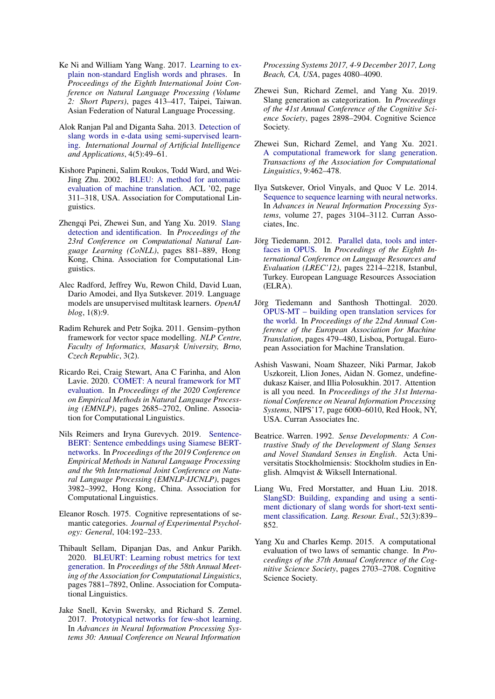- <span id="page-10-1"></span>Ke Ni and William Yang Wang. 2017. [Learning to ex](https://www.aclweb.org/anthology/I17-2070)[plain non-standard English words and phrases.](https://www.aclweb.org/anthology/I17-2070) In *Proceedings of the Eighth International Joint Conference on Natural Language Processing (Volume 2: Short Papers)*, pages 413–417, Taipei, Taiwan. Asian Federation of Natural Language Processing.
- <span id="page-10-5"></span>Alok Ranjan Pal and Diganta Saha. 2013. [Detection of](https://doi.org/10.5121/ijaia.2013.4504) [slang words in e-data using semi-supervised learn](https://doi.org/10.5121/ijaia.2013.4504)[ing.](https://doi.org/10.5121/ijaia.2013.4504) *International Journal of Artificial Intelligence and Applications*, 4(5):49–61.
- <span id="page-10-16"></span>Kishore Papineni, Salim Roukos, Todd Ward, and Wei-Jing Zhu. 2002. [BLEU: A method for automatic](https://doi.org/10.3115/1073083.1073135) [evaluation of machine translation.](https://doi.org/10.3115/1073083.1073135) ACL '02, page 311–318, USA. Association for Computational Linguistics.
- <span id="page-10-7"></span>Zhengqi Pei, Zhewei Sun, and Yang Xu. 2019. [Slang](https://doi.org/10.18653/v1/K19-1082) [detection and identification.](https://doi.org/10.18653/v1/K19-1082) In *Proceedings of the 23rd Conference on Computational Natural Language Learning (CoNLL)*, pages 881–889, Hong Kong, China. Association for Computational Linguistics.
- <span id="page-10-0"></span>Alec Radford, Jeffrey Wu, Rewon Child, David Luan, Dario Amodei, and Ilya Sutskever. 2019. Language models are unsupervised multitask learners. *OpenAI blog*, 1(8):9.
- <span id="page-10-19"></span>Radim Rehurek and Petr Sojka. 2011. Gensim–python framework for vector space modelling. *NLP Centre, Faculty of Informatics, Masaryk University, Brno, Czech Republic*, 3(2).
- <span id="page-10-18"></span>Ricardo Rei, Craig Stewart, Ana C Farinha, and Alon Lavie. 2020. [COMET: A neural framework for MT](https://doi.org/10.18653/v1/2020.emnlp-main.213) [evaluation.](https://doi.org/10.18653/v1/2020.emnlp-main.213) In *Proceedings of the 2020 Conference on Empirical Methods in Natural Language Processing (EMNLP)*, pages 2685–2702, Online. Association for Computational Linguistics.
- <span id="page-10-12"></span>Nils Reimers and Iryna Gurevych. 2019. [Sentence-](https://doi.org/10.18653/v1/D19-1410)[BERT: Sentence embeddings using Siamese BERT](https://doi.org/10.18653/v1/D19-1410)[networks.](https://doi.org/10.18653/v1/D19-1410) In *Proceedings of the 2019 Conference on Empirical Methods in Natural Language Processing and the 9th International Joint Conference on Natural Language Processing (EMNLP-IJCNLP)*, pages 3982–3992, Hong Kong, China. Association for Computational Linguistics.
- <span id="page-10-9"></span>Eleanor Rosch. 1975. Cognitive representations of semantic categories. *Journal of Experimental Psychology: General*, 104:192–233.
- <span id="page-10-17"></span>Thibault Sellam, Dipanjan Das, and Ankur Parikh. 2020. [BLEURT: Learning robust metrics for text](https://doi.org/10.18653/v1/2020.acl-main.704) [generation.](https://doi.org/10.18653/v1/2020.acl-main.704) In *Proceedings of the 58th Annual Meeting of the Association for Computational Linguistics*, pages 7881–7892, Online. Association for Computational Linguistics.
- <span id="page-10-10"></span>Jake Snell, Kevin Swersky, and Richard S. Zemel. 2017. [Prototypical networks for few-shot learning.](http://papers.nips.cc/paper/6996-prototypical-networks-for-few-shot-learning) In *Advances in Neural Information Processing Systems 30: Annual Conference on Neural Information*

*Processing Systems 2017, 4-9 December 2017, Long Beach, CA, USA*, pages 4080–4090.

- <span id="page-10-2"></span>Zhewei Sun, Richard Zemel, and Yang Xu. 2019. Slang generation as categorization. In *Proceedings of the 41st Annual Conference of the Cognitive Science Society*, pages 2898–2904. Cognitive Science Society.
- <span id="page-10-3"></span>Zhewei Sun, Richard Zemel, and Yang Xu. 2021. [A computational framework for slang generation.](https://doi.org/10.1162/tacl_a_00378) *Transactions of the Association for Computational Linguistics*, 9:462–478.
- <span id="page-10-8"></span>Ilya Sutskever, Oriol Vinyals, and Quoc V Le. 2014. [Sequence to sequence learning with neural networks.](https://proceedings.neurips.cc/paper/2014/file/a14ac55a4f27472c5d894ec1c3c743d2-Paper.pdf) In *Advances in Neural Information Processing Systems*, volume 27, pages 3104–3112. Curran Associates, Inc.
- <span id="page-10-15"></span>Jörg Tiedemann. 2012. [Parallel data, tools and inter](http://www.lrec-conf.org/proceedings/lrec2012/pdf/463_Paper.pdf)[faces in OPUS.](http://www.lrec-conf.org/proceedings/lrec2012/pdf/463_Paper.pdf) In *Proceedings of the Eighth International Conference on Language Resources and Evaluation (LREC'12)*, pages 2214–2218, Istanbul, Turkey. European Language Resources Association (ELRA).
- <span id="page-10-14"></span>Jörg Tiedemann and Santhosh Thottingal. 2020. [OPUS-MT – building open translation services for](https://aclanthology.org/2020.eamt-1.61) [the world.](https://aclanthology.org/2020.eamt-1.61) In *Proceedings of the 22nd Annual Conference of the European Association for Machine Translation*, pages 479–480, Lisboa, Portugal. European Association for Machine Translation.
- <span id="page-10-13"></span>Ashish Vaswani, Noam Shazeer, Niki Parmar, Jakob Uszkoreit, Llion Jones, Aidan N. Gomez, undefinedukasz Kaiser, and Illia Polosukhin. 2017. Attention is all you need. In *Proceedings of the 31st International Conference on Neural Information Processing Systems*, NIPS'17, page 6000–6010, Red Hook, NY, USA. Curran Associates Inc.
- <span id="page-10-4"></span>Beatrice. Warren. 1992. *Sense Developments: A Contrastive Study of the Development of Slang Senses and Novel Standard Senses in English*. Acta Universitatis Stockholmiensis: Stockholm studies in English. Almqvist & Wiksell International.
- <span id="page-10-6"></span>Liang Wu, Fred Morstatter, and Huan Liu. 2018. [SlangSD: Building, expanding and using a senti](https://doi.org/10.1007/s10579-018-9416-0)[ment dictionary of slang words for short-text senti](https://doi.org/10.1007/s10579-018-9416-0)[ment classification.](https://doi.org/10.1007/s10579-018-9416-0) *Lang. Resour. Eval.*, 52(3):839– 852.
- <span id="page-10-11"></span>Yang Xu and Charles Kemp. 2015. A computational evaluation of two laws of semantic change. In *Proceedings of the 37th Annual Conference of the Cognitive Science Society*, pages 2703–2708. Cognitive Science Society.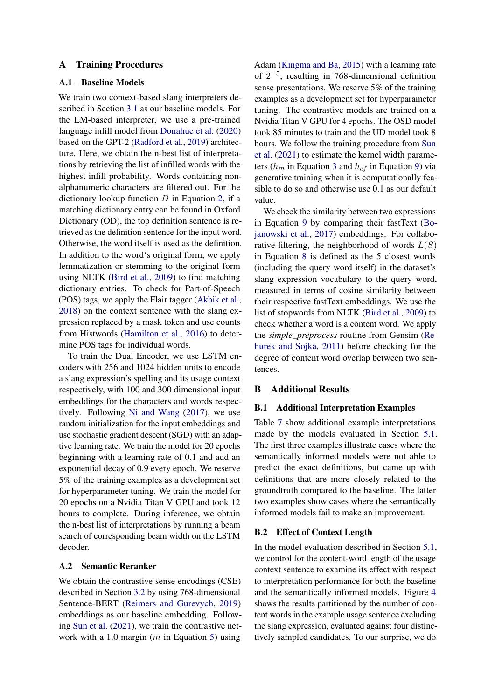## <span id="page-11-0"></span>A Training Procedures

## A.1 Baseline Models

We train two context-based slang interpreters described in Section [3.1](#page-2-1) as our baseline models. For the LM-based interpreter, we use a pre-trained language infill model from [Donahue et al.](#page-9-2) [\(2020\)](#page-9-2) based on the GPT-2 [\(Radford et al.,](#page-10-0) [2019\)](#page-10-0) architecture. Here, we obtain the n-best list of interpretations by retrieving the list of infilled words with the highest infill probability. Words containing nonalphanumeric characters are filtered out. For the dictionary lookup function  $D$  in Equation [2,](#page-2-0) if a matching dictionary entry can be found in Oxford Dictionary (OD), the top definition sentence is retrieved as the definition sentence for the input word. Otherwise, the word itself is used as the definition. In addition to the word's original form, we apply lemmatization or stemming to the original form using NLTK [\(Bird et al.,](#page-9-14) [2009\)](#page-9-14) to find matching dictionary entries. To check for Part-of-Speech (POS) tags, we apply the Flair tagger [\(Akbik et al.,](#page-9-16) [2018\)](#page-9-16) on the context sentence with the slang expression replaced by a mask token and use counts from Histwords [\(Hamilton et al.,](#page-9-17) [2016\)](#page-9-17) to determine POS tags for individual words.

To train the Dual Encoder, we use LSTM encoders with 256 and 1024 hidden units to encode a slang expression's spelling and its usage context respectively, with 100 and 300 dimensional input embeddings for the characters and words respectively. Following [Ni and Wang](#page-10-1) [\(2017\)](#page-10-1), we use random initialization for the input embeddings and use stochastic gradient descent (SGD) with an adaptive learning rate. We train the model for 20 epochs beginning with a learning rate of 0.1 and add an exponential decay of 0.9 every epoch. We reserve 5% of the training examples as a development set for hyperparameter tuning. We train the model for 20 epochs on a Nvidia Titan V GPU and took 12 hours to complete. During inference, we obtain the n-best list of interpretations by running a beam search of corresponding beam width on the LSTM decoder.

#### A.2 Semantic Reranker

We obtain the contrastive sense encodings (CSE) described in Section [3.2](#page-3-1) by using 768-dimensional Sentence-BERT [\(Reimers and Gurevych,](#page-10-12) [2019\)](#page-10-12) embeddings as our baseline embedding. Following [Sun et al.](#page-10-3) [\(2021\)](#page-10-3), we train the contrastive network with a 1.0 margin ( $m$  in Equation [5\)](#page-3-2) using

Adam [\(Kingma and Ba,](#page-9-18) [2015\)](#page-9-18) with a learning rate of  $2^{-5}$ , resulting in 768-dimensional definition sense presentations. We reserve 5% of the training examples as a development set for hyperparameter tuning. The contrastive models are trained on a Nvidia Titan V GPU for 4 epochs. The OSD model took 85 minutes to train and the UD model took 8 hours. We follow the training procedure from [Sun](#page-10-3) [et al.](#page-10-3) [\(2021\)](#page-10-3) to estimate the kernel width parameters ( $h_m$  in Equation [3](#page-3-0) and  $h_{cf}$  in Equation [9\)](#page-4-3) via generative training when it is computationally feasible to do so and otherwise use 0.1 as our default value.

We check the similarity between two expressions in Equation [9](#page-4-3) by comparing their fastText [\(Bo](#page-9-19)[janowski et al.,](#page-9-19) [2017\)](#page-9-19) embeddings. For collaborative filtering, the neighborhood of words  $L(S)$ in Equation [8](#page-4-4) is defined as the 5 closest words (including the query word itself) in the dataset's slang expression vocabulary to the query word, measured in terms of cosine similarity between their respective fastText embeddings. We use the list of stopwords from NLTK [\(Bird et al.,](#page-9-14) [2009\)](#page-9-14) to check whether a word is a content word. We apply the *simple\_preprocess* routine from Gensim [\(Re](#page-10-19)[hurek and Sojka,](#page-10-19) [2011\)](#page-10-19) before checking for the degree of content word overlap between two sentences.

## B Additional Results

### <span id="page-11-1"></span>B.1 Additional Interpretation Examples

Table [7](#page-13-0) show additional example interpretations made by the models evaluated in Section [5.1.](#page-4-5) The first three examples illustrate cases where the semantically informed models were not able to predict the exact definitions, but came up with definitions that are more closely related to the groundtruth compared to the baseline. The latter two examples show cases where the semantically informed models fail to make an improvement.

### B.2 Effect of Context Length

In the model evaluation described in Section [5.1,](#page-4-5) we control for the content-word length of the usage context sentence to examine its effect with respect to interpretation performance for both the baseline and the semantically informed models. Figure [4](#page-14-0) shows the results partitioned by the number of content words in the example usage sentence excluding the slang expression, evaluated against four distinctively sampled candidates. To our surprise, we do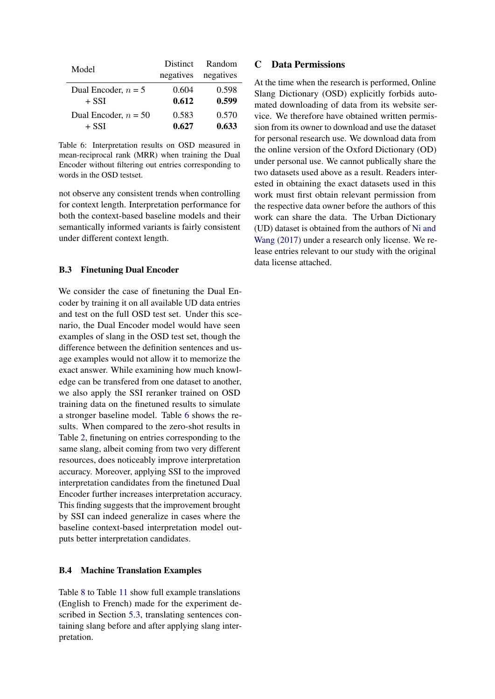<span id="page-12-1"></span>

| Model                  | <b>Distinct</b> | Random    |
|------------------------|-----------------|-----------|
|                        | negatives       | negatives |
| Dual Encoder, $n = 5$  | 0.604           | 0.598     |
| $+$ SSI                | 0.612           | 0.599     |
| Dual Encoder, $n = 50$ | 0.583           | 0.570     |
| $+$ SSI                | 0.627           | 0.633     |

Table 6: Interpretation results on OSD measured in mean-reciprocal rank (MRR) when training the Dual Encoder without filtering out entries corresponding to words in the OSD testset.

not observe any consistent trends when controlling for context length. Interpretation performance for both the context-based baseline models and their semantically informed variants is fairly consistent under different context length.

### B.3 Finetuning Dual Encoder

We consider the case of finetuning the Dual Encoder by training it on all available UD data entries and test on the full OSD test set. Under this scenario, the Dual Encoder model would have seen examples of slang in the OSD test set, though the difference between the definition sentences and usage examples would not allow it to memorize the exact answer. While examining how much knowledge can be transfered from one dataset to another, we also apply the SSI reranker trained on OSD training data on the finetuned results to simulate a stronger baseline model. Table [6](#page-12-1) shows the results. When compared to the zero-shot results in Table [2,](#page-5-1) finetuning on entries corresponding to the same slang, albeit coming from two very different resources, does noticeably improve interpretation accuracy. Moreover, applying SSI to the improved interpretation candidates from the finetuned Dual Encoder further increases interpretation accuracy. This finding suggests that the improvement brought by SSI can indeed generalize in cases where the baseline context-based interpretation model outputs better interpretation candidates.

### <span id="page-12-0"></span>B.4 Machine Translation Examples

Table [8](#page-15-0) to Table [11](#page-18-0) show full example translations (English to French) made for the experiment described in Section [5.3,](#page-6-2) translating sentences containing slang before and after applying slang interpretation.

## C Data Permissions

At the time when the research is performed, Online Slang Dictionary (OSD) explicitly forbids automated downloading of data from its website service. We therefore have obtained written permission from its owner to download and use the dataset for personal research use. We download data from the online version of the Oxford Dictionary (OD) under personal use. We cannot publically share the two datasets used above as a result. Readers interested in obtaining the exact datasets used in this work must first obtain relevant permission from the respective data owner before the authors of this work can share the data. The Urban Dictionary (UD) dataset is obtained from the authors of [Ni and](#page-10-1) [Wang](#page-10-1) [\(2017\)](#page-10-1) under a research only license. We release entries relevant to our study with the original data license attached.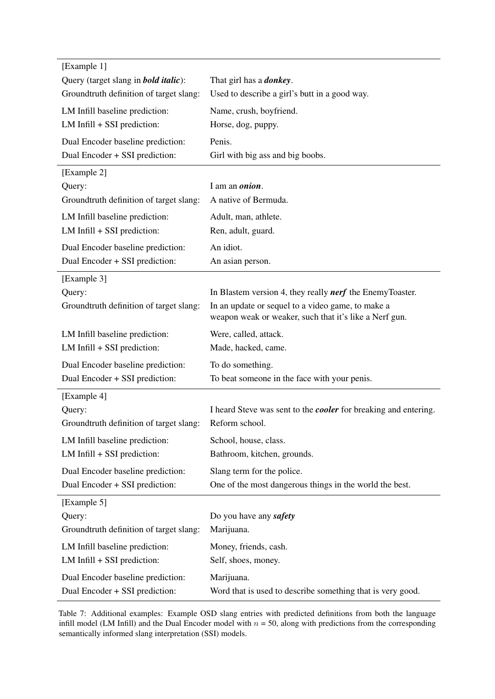<span id="page-13-0"></span>

| Query (target slang in <b>bold italic</b> ): | That girl has a <b><i>donkey</i></b> .                                                                      |
|----------------------------------------------|-------------------------------------------------------------------------------------------------------------|
| Groundtruth definition of target slang:      | Used to describe a girl's butt in a good way.                                                               |
| LM Infill baseline prediction:               | Name, crush, boyfriend.                                                                                     |
| $LM$ Infill + SSI prediction:                | Horse, dog, puppy.                                                                                          |
| Dual Encoder baseline prediction:            | Penis.                                                                                                      |
| Dual Encoder + SSI prediction:               | Girl with big ass and big boobs.                                                                            |
| [Example 2]                                  |                                                                                                             |
| Query:                                       | I am an <i>onion</i> .                                                                                      |
| Groundtruth definition of target slang:      | A native of Bermuda.                                                                                        |
| LM Infill baseline prediction:               | Adult, man, athlete.                                                                                        |
| $LM$ Infill + SSI prediction:                | Ren, adult, guard.                                                                                          |
| Dual Encoder baseline prediction:            | An idiot.                                                                                                   |
| Dual Encoder + SSI prediction:               | An asian person.                                                                                            |
| [Example 3]                                  |                                                                                                             |
| Query:                                       | In Blastem version 4, they really <i>nerf</i> the EnemyToaster.                                             |
| Groundtruth definition of target slang:      | In an update or sequel to a video game, to make a<br>weapon weak or weaker, such that it's like a Nerf gun. |
| LM Infill baseline prediction:               | Were, called, attack.                                                                                       |
| $LM$ Infill + SSI prediction:                | Made, hacked, came.                                                                                         |
| Dual Encoder baseline prediction:            | To do something.                                                                                            |
| Dual Encoder + SSI prediction:               | To beat someone in the face with your penis.                                                                |
| [Example 4]                                  |                                                                                                             |
|                                              |                                                                                                             |
| Query:                                       | I heard Steve was sent to the <i>cooler</i> for breaking and entering.                                      |
| Groundtruth definition of target slang:      | Reform school.                                                                                              |
| LM Infill baseline prediction:               | School, house, class.                                                                                       |
| $LM$ Infill + SSI prediction:                | Bathroom, kitchen, grounds.                                                                                 |
| Dual Encoder baseline prediction:            | Slang term for the police.                                                                                  |
| Dual Encoder + SSI prediction:               | One of the most dangerous things in the world the best.                                                     |
| [Example 5]                                  |                                                                                                             |
| Query:                                       | Do you have any safety                                                                                      |
| Groundtruth definition of target slang:      | Marijuana.                                                                                                  |
| LM Infill baseline prediction:               | Money, friends, cash.                                                                                       |
| $LM$ Infill + SSI prediction:                | Self, shoes, money.                                                                                         |
| Dual Encoder baseline prediction:            | Marijuana.                                                                                                  |

Table 7: Additional examples: Example OSD slang entries with predicted definitions from both the language infill model (LM Infill) and the Dual Encoder model with  $n = 50$ , along with predictions from the corresponding semantically informed slang interpretation (SSI) models.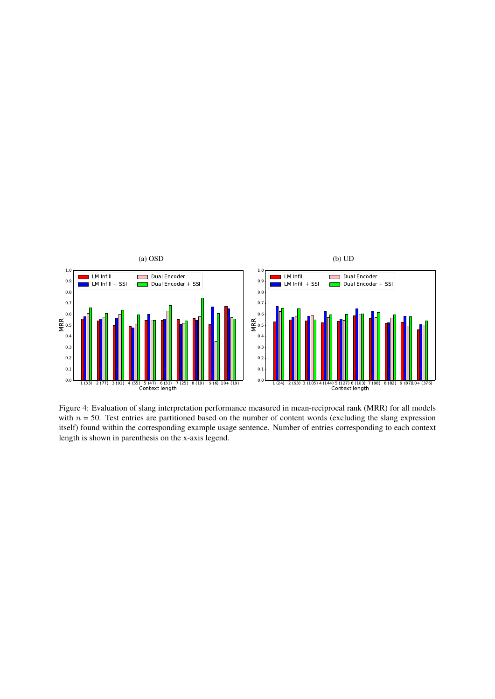<span id="page-14-0"></span>

Figure 4: Evaluation of slang interpretation performance measured in mean-reciprocal rank (MRR) for all models with  $n = 50$ . Test entries are partitioned based on the number of content words (excluding the slang expression itself) found within the corresponding example usage sentence. Number of entries corresponding to each context length is shown in parenthesis on the x-axis legend.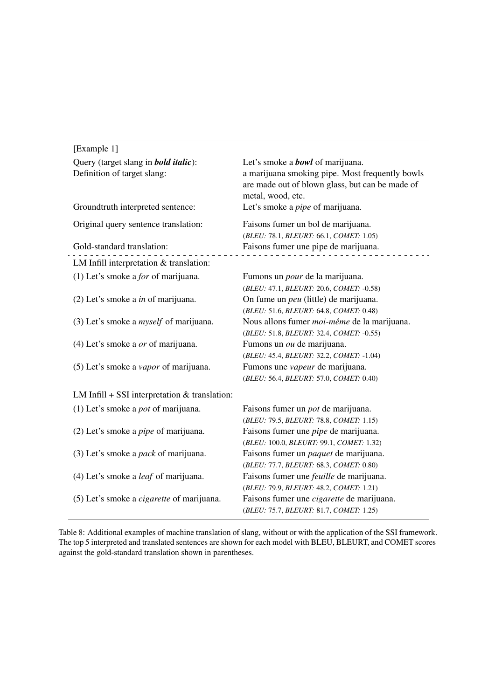<span id="page-15-0"></span>

| [Example 1]                                      |                                                                                                    |
|--------------------------------------------------|----------------------------------------------------------------------------------------------------|
| Query (target slang in <b>bold italic</b> ):     | Let's smoke a <b>bowl</b> of marijuana.                                                            |
| Definition of target slang:                      | a marijuana smoking pipe. Most frequently bowls<br>are made out of blown glass, but can be made of |
| Groundtruth interpreted sentence:                | metal, wood, etc.<br>Let's smoke a <i>pipe</i> of marijuana.                                       |
|                                                  |                                                                                                    |
| Original query sentence translation:             | Faisons fumer un bol de marijuana.                                                                 |
|                                                  | (BLEU: 78.1, BLEURT: 66.1, COMET: 1.05)                                                            |
| Gold-standard translation:                       | Faisons fumer une pipe de marijuana.                                                               |
| LM Infill interpretation & translation:          |                                                                                                    |
| (1) Let's smoke a <i>for</i> of marijuana.       | Fumons un <i>pour</i> de la marijuana.                                                             |
|                                                  | (BLEU: 47.1, BLEURT: 20.6, COMET: -0.58)                                                           |
| $(2)$ Let's smoke a <i>in</i> of marijuana.      | On fume un <i>peu</i> (little) de marijuana.                                                       |
|                                                  | (BLEU: 51.6, BLEURT: 64.8, COMET: 0.48)                                                            |
| $(3)$ Let's smoke a <i>myself</i> of marijuana.  | Nous allons fumer <i>moi-même</i> de la marijuana.                                                 |
|                                                  | (BLEU: 51.8, BLEURT: 32.4, COMET: -0.55)                                                           |
| $(4)$ Let's smoke a <i>or</i> of marijuana.      | Fumons un <i>ou</i> de marijuana.                                                                  |
|                                                  | (BLEU: 45.4, BLEURT: 32.2, COMET: -1.04)                                                           |
| (5) Let's smoke a <i>vapor</i> of marijuana.     | Fumons une vapeur de marijuana.                                                                    |
|                                                  | (BLEU: 56.4, BLEURT: 57.0, COMET: 0.40)                                                            |
| LM Infill $+$ SSI interpretation & translation:  |                                                                                                    |
| (1) Let's smoke a <i>pot</i> of marijuana.       | Faisons fumer un <i>pot</i> de marijuana.                                                          |
|                                                  | (BLEU: 79.5, BLEURT: 78.8, COMET: 1.15)                                                            |
| $(2)$ Let's smoke a <i>pipe</i> of marijuana.    | Faisons fumer une <i>pipe</i> de marijuana.                                                        |
|                                                  | (BLEU: 100.0, BLEURT: 99.1, COMET: 1.32)                                                           |
| (3) Let's smoke a <i>pack</i> of marijuana.      | Faisons fumer un paquet de marijuana.                                                              |
|                                                  | (BLEU: 77.7, BLEURT: 68.3, COMET: 0.80)                                                            |
| (4) Let's smoke a <i>leaf</i> of marijuana.      | Faisons fumer une <i>feuille</i> de marijuana.                                                     |
|                                                  | (BLEU: 79.9, BLEURT: 48.2, COMET: 1.21)                                                            |
| (5) Let's smoke a <i>cigarette</i> of marijuana. | Faisons fumer une <i>cigarette</i> de marijuana.                                                   |
|                                                  | (BLEU: 75.7, BLEURT: 81.7, COMET: 1.25)                                                            |

Table 8: Additional examples of machine translation of slang, without or with the application of the SSI framework. The top 5 interpreted and translated sentences are shown for each model with BLEU, BLEURT, and COMET scores against the gold-standard translation shown in parentheses.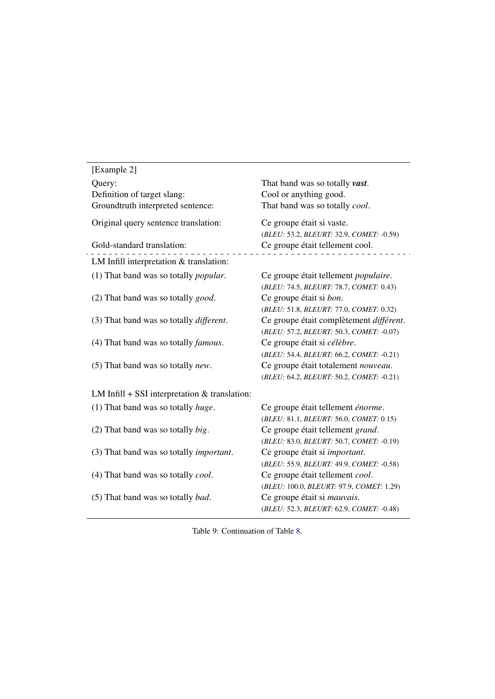<span id="page-16-0"></span>

| [Example 2]                                     |                                              |
|-------------------------------------------------|----------------------------------------------|
| Query:                                          | That band was so totally vast.               |
| Definition of target slang:                     | Cool or anything good.                       |
| Groundtruth interpreted sentence:               | That band was so totally cool.               |
| Original query sentence translation:            | Ce groupe était si vaste.                    |
|                                                 | (BLEU: 53.2, BLEURT: 32.9, COMET: -0.59)     |
| Gold-standard translation:                      | Ce groupe était tellement cool.              |
| LM Infill interpretation & translation:         |                                              |
| (1) That band was so totally <i>popular</i> .   | Ce groupe était tellement <i>populaire</i> . |
|                                                 | (BLEU: 74.5, BLEURT: 78.7, COMET: 0.43)      |
| (2) That band was so totally <i>good</i> .      | Ce groupe était si <i>bon</i> .              |
|                                                 | (BLEU: 51.8, BLEURT: 77.0, COMET: 0.32)      |
| (3) That band was so totally <i>different</i> . | Ce groupe était complètement différent.      |
|                                                 | (BLEU: 57.2, BLEURT: 50.3, COMET: -0.07)     |
| (4) That band was so totally <i>famous</i> .    | Ce groupe était si célèbre.                  |
|                                                 | (BLEU: 54.4, BLEURT: 66.2, COMET: -0.21)     |
| (5) That band was so totally <i>new</i> .       | Ce groupe était totalement nouveau.          |
|                                                 | (BLEU: 64.2, BLEURT: 50.2, COMET: -0.21)     |
| LM Infill $+$ SSI interpretation & translation: |                                              |
| $(1)$ That band was so totally <i>huge</i> .    | Ce groupe était tellement énorme.            |
|                                                 | (BLEU: 81.1, BLEURT: 56.0, COMET: 0.15)      |
| $(2)$ That band was so totally <i>big</i> .     | Ce groupe était tellement grand.             |
|                                                 | (BLEU: 83.0, BLEURT: 50.7, COMET: -0.19)     |
| (3) That band was so totally <i>important</i> . | Ce groupe était si <i>important</i> .        |
|                                                 | (BLEU: 55.9, BLEURT: 49.9, COMET: -0.58)     |
| (4) That band was so totally <i>cool</i> .      | Ce groupe était tellement cool.              |
|                                                 | (BLEU: 100.0, BLEURT: 97.9, COMET: 1.29)     |
| (5) That band was so totally <i>bad</i> .       | Ce groupe était si mauvais.                  |
|                                                 | (BLEU: 52.3, BLEURT: 62.9, COMET: -0.48)     |

Table 9: Continuation of Table [8.](#page-15-0)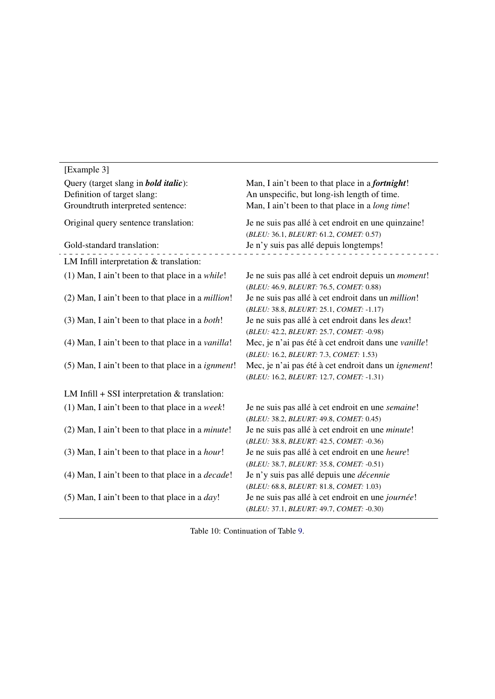<span id="page-17-0"></span>

| [Example 3]                                               |                                                                                                |
|-----------------------------------------------------------|------------------------------------------------------------------------------------------------|
| Query (target slang in <b>bold italic</b> ):              | Man, I ain't been to that place in a <i>fortnight</i> !                                        |
| Definition of target slang:                               | An unspecific, but long-ish length of time.                                                    |
| Groundtruth interpreted sentence:                         | Man, I ain't been to that place in a long time!                                                |
| Original query sentence translation:                      | Je ne suis pas allé à cet endroit en une quinzaine!<br>(BLEU: 36.1, BLEURT: 61.2, COMET: 0.57) |
| Gold-standard translation:                                | Je n'y suis pas allé depuis longtemps!                                                         |
| LM Infill interpretation & translation:                   |                                                                                                |
| (1) Man, I ain't been to that place in a $while!$         | Je ne suis pas allé à cet endroit depuis un moment!                                            |
|                                                           | (BLEU: 46.9, BLEURT: 76.5, COMET: 0.88)                                                        |
| (2) Man, I ain't been to that place in a <i>million</i> ! | Je ne suis pas allé à cet endroit dans un <i>million</i> !                                     |
|                                                           | (BLEU: 38.8, BLEURT: 25.1, COMET: -1.17)                                                       |
| (3) Man, I ain't been to that place in a <i>both</i> !    | Je ne suis pas allé à cet endroit dans les <i>deux</i> !                                       |
|                                                           | (BLEU: 42.2, BLEURT: 25.7, COMET: -0.98)                                                       |
| (4) Man, I ain't been to that place in a <i>vanilla!</i>  | Mec, je n'ai pas été à cet endroit dans une vanille!                                           |
|                                                           | (BLEU: 16.2, BLEURT: 7.3, COMET: 1.53)                                                         |
| (5) Man, I ain't been to that place in a <i>ignment</i> ! | Mec, je n'ai pas été à cet endroit dans un <i>ignement</i> !                                   |
|                                                           | (BLEU: 16.2, BLEURT: 12.7, COMET: -1.31)                                                       |
| LM Infill $+$ SSI interpretation & translation:           |                                                                                                |
| $(1)$ Man, I ain't been to that place in a week!          | Je ne suis pas allé à cet endroit en une semaine!                                              |
|                                                           | (BLEU: 38.2, BLEURT: 49.8, COMET: 0.45)                                                        |
| (2) Man, I ain't been to that place in a <i>minute</i> !  | Je ne suis pas allé à cet endroit en une <i>minute</i> !                                       |
|                                                           | (BLEU: 38.8, BLEURT: 42.5, COMET: -0.36)                                                       |
| (3) Man, I ain't been to that place in a hour!            | Je ne suis pas allé à cet endroit en une heure!                                                |
|                                                           | (BLEU: 38.7, BLEURT: 35.8, COMET: -0.51)                                                       |
| (4) Man, I ain't been to that place in a <i>decade</i> !  | Je n'y suis pas allé depuis une <i>décennie</i>                                                |
|                                                           | (BLEU: 68.8, BLEURT: 81.8, COMET: 1.03)                                                        |
| (5) Man, I ain't been to that place in a $day!$           | Je ne suis pas allé à cet endroit en une journée!                                              |
|                                                           | (BLEU: 37.1, BLEURT: 49.7, COMET: -0.30)                                                       |

Table 10: Continuation of Table [9.](#page-16-0)